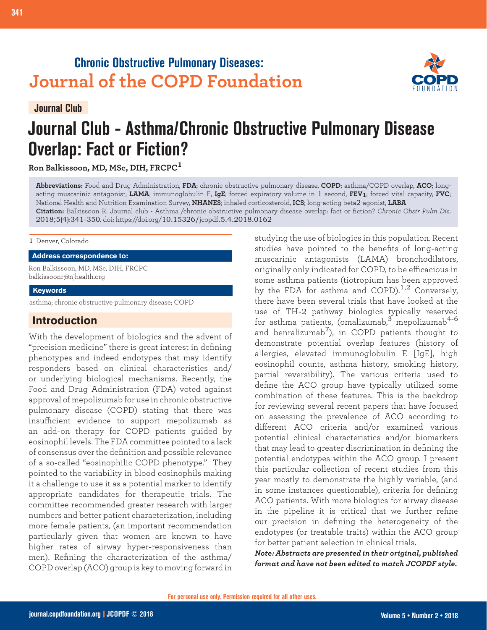## **Chronic Obstructive Pulmonary Diseases: Journal of the COPD Foundation**





# **Journal Club - Asthma/Chronic Obstructive Pulmonary Disease Overlap: Fact or Fiction?**

**Ron Balkissoon, MD, MSc, DIH, FRCPC<sup>1</sup>**

**Abbreviations:** Food and Drug Administration, **FDA**; chronic obstructive pulmonary disease, **COPD**; asthma/COPD overlap, **ACO**; longacting muscarinic antagonist, **LAMA**; immunoglobulin E, **IgE**; forced expiratory volume in 1 second, **FEV1**; forced vital capacity, **FVC**; National Health and Nutrition Examination Survey, **NHANES**; inhaled corticosteroid, **ICS**; long-acting beta2-agonist, **LABA Citation:** Balkissoon R. Journal club - Asthma /chronic obstructive pulmonary disease overlap: fact or fiction? *Chronic Obstr Pulm Dis*. 2018;5(4):341-350. doi: https://doi.org/10.15326/jcopdf.5.4.2018.0162

1 Denver, Colorado

**Address correspondence to:**

Ron Balkissoon, MD, MSc, DIH, FRCPC balkissoonr@njhealth.org

#### **Keywords**

asthma; chronic obstructive pulmonary disease; COPD

## **Introduction**

With the development of biologics and the advent of "precision medicine" there is great interest in defining phenotypes and indeed endotypes that may identify responders based on clinical characteristics and/ or underlying biological mechanisms. Recently, the Food and Drug Administration (FDA) voted against approval of mepolizumab for use in chronic obstructive pulmonary disease (COPD) stating that there was insufficient evidence to support mepolizumab as an add-on therapy for COPD patients guided by eosinophil levels. The FDA committee pointed to a lack of consensus over the definition and possible relevance of a so-called "eosinophilic COPD phenotype." They pointed to the variability in blood eosinophils making it a challenge to use it as a potential marker to identify appropriate candidates for therapeutic trials. The committee recommended greater research with larger numbers and better patient characterization, including more female patients, (an important recommendation particularly given that women are known to have higher rates of airway hyper-responsiveness than men). Refining the characterization of the asthma/ COPD overlap (ACO) group is key to moving forward in

studying the use of biologics in this population. Recent studies have pointed to the benefits of long-acting muscarinic antagonists (LAMA) bronchodilators, originally only indicated for COPD, to be efficacious in some asthma patients (tiotropium has been approved by the FDA for asthma and COPD).<sup>1,2</sup> Conversely, there have been several trials that have looked at the use of TH-2 pathway biologics typically reserved for asthma patients, (omalizumab,  $\frac{3}{3}$  mepolizumab<sup>4-6</sup> and benralizumab<sup>7</sup>), in COPD patients thought to demonstrate potential overlap features (history of allergies, elevated immunoglobulin E [IgE], high eosinophil counts, asthma history, smoking history, partial reversibility). The various criteria used to define the ACO group have typically utilized some combination of these features. This is the backdrop for reviewing several recent papers that have focused on assessing the prevalence of ACO according to different ACO criteria and/or examined various potential clinical characteristics and/or biomarkers that may lead to greater discrimination in defining the potential endotypes within the ACO group. I present this particular collection of recent studies from this year mostly to demonstrate the highly variable, (and in some instances questionable), criteria for defining ACO patients. With more biologics for airway disease in the pipeline it is critical that we further refine our precision in defining the heterogeneity of the endotypes (or treatable traits) within the ACO group for better patient selection in clinical trials.

*Note: Abstracts are presented in their original, published format and have not been edited to match JCOPDF style.*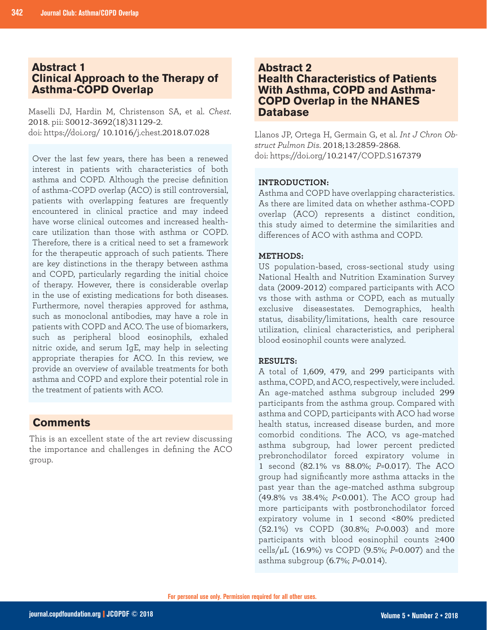## **Abstract 1 Clinical Approach to the Therapy of Asthma-COPD Overlap**

Maselli DJ, Hardin M, Christenson SA, et al. *Chest*. 2018. pii: S0012-3692(18)31129-2. doi: https://doi.org/ 10.1016/j.chest.2018.07.028

Over the last few years, there has been a renewed interest in patients with characteristics of both asthma and COPD. Although the precise definition of asthma-COPD overlap (ACO) is still controversial, patients with overlapping features are frequently encountered in clinical practice and may indeed have worse clinical outcomes and increased healthcare utilization than those with asthma or COPD. Therefore, there is a critical need to set a framework for the therapeutic approach of such patients. There are key distinctions in the therapy between asthma and COPD, particularly regarding the initial choice of therapy. However, there is considerable overlap in the use of existing medications for both diseases. Furthermore, novel therapies approved for asthma, such as monoclonal antibodies, may have a role in patients with COPD and ACO. The use of biomarkers, such as peripheral blood eosinophils, exhaled nitric oxide, and serum IgE, may help in selecting appropriate therapies for ACO. In this review, we provide an overview of available treatments for both asthma and COPD and explore their potential role in the treatment of patients with ACO.

## **Comments**

This is an excellent state of the art review discussing the importance and challenges in defining the ACO group.

## **Abstract 2 Health Characteristics of Patients With Asthma, COPD and Asthma-COPD Overlap in the NHANES Database**

Llanos JP, Ortega H, Germain G, et al. *Int J Chron Obstruct Pulmon Dis*. 2018;13:2859-2868. doi: https://doi.org/10.2147/COPD.S167379

#### **INTRODUCTION:**

Asthma and COPD have overlapping characteristics. As there are limited data on whether asthma-COPD overlap (ACO) represents a distinct condition, this study aimed to determine the similarities and differences of ACO with asthma and COPD.

#### **METHODS:**

US population-based, cross-sectional study using National Health and Nutrition Examination Survey data (2009-2012) compared participants with ACO vs those with asthma or COPD, each as mutually exclusive diseasestates. Demographics, health status, disability/limitations, health care resource utilization, clinical characteristics, and peripheral blood eosinophil counts were analyzed.

#### **RESULTS:**

A total of 1,609, 479, and 299 participants with asthma, COPD, and ACO, respectively, were included. An age-matched asthma subgroup included 299 participants from the asthma group. Compared with asthma and COPD, participants with ACO had worse health status, increased disease burden, and more comorbid conditions. The ACO, vs age-matched asthma subgroup, had lower percent predicted prebronchodilator forced expiratory volume in 1 second (82.1% vs 88.0%; *P*=0.017). The ACO group had significantly more asthma attacks in the past year than the age-matched asthma subgroup (49.8% vs 38.4%; *P*<0.001). The ACO group had more participants with postbronchodilator forced expiratory volume in 1 second <80% predicted (52.1%) vs COPD (30.8%; *P*=0.003) and more participants with blood eosinophil counts ≥400 cells/µL (16.9%) vs COPD (9.5%; *P*=0.007) and the asthma subgroup (6.7%; *P*=0.014).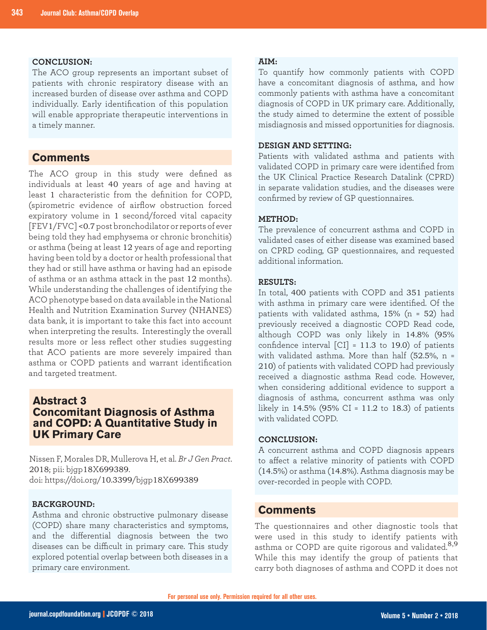#### **CONCLUSION:**

The ACO group represents an important subset of patients with chronic respiratory disease with an increased burden of disease over asthma and COPD individually. Early identification of this population will enable appropriate therapeutic interventions in a timely manner.

## **Comments**

The ACO group in this study were defined as individuals at least 40 years of age and having at least 1 characteristic from the definition for COPD, (spirometric evidence of airflow obstruction forced expiratory volume in 1 second/forced vital capacity [FEV1/FVC] <0.7 post bronchodilator or reports of ever being told they had emphysema or chronic bronchitis) or asthma (being at least 12 years of age and reporting having been told by a doctor or health professional that they had or still have asthma or having had an episode of asthma or an asthma attack in the past 12 months). While understanding the challenges of identifying the ACO phenotype based on data available in the National Health and Nutrition Examination Survey (NHANES) data bank, it is important to take this fact into account when interpreting the results. Interestingly the overall results more or less reflect other studies suggesting that ACO patients are more severely impaired than asthma or COPD patients and warrant identification and targeted treatment.

## **Abstract 3 Concomitant Diagnosis of Asthma and COPD: A Quantitative Study in UK Primary Care**

Nissen F, Morales DR, Mullerova H, et al. *Br J Gen Pract*. 2018; pii: bjgp18X699389. doi: https://doi.org/10.3399/bjgp18X699389

#### **BACKGROUND:**

Asthma and chronic obstructive pulmonary disease (COPD) share many characteristics and symptoms, and the differential diagnosis between the two diseases can be difficult in primary care. This study explored potential overlap between both diseases in a primary care environment.

#### **AIM:**

To quantify how commonly patients with COPD have a concomitant diagnosis of asthma, and how commonly patients with asthma have a concomitant diagnosis of COPD in UK primary care. Additionally, the study aimed to determine the extent of possible misdiagnosis and missed opportunities for diagnosis.

#### **DESIGN AND SETTING:**

Patients with validated asthma and patients with validated COPD in primary care were identified from the UK Clinical Practice Research Datalink (CPRD) in separate validation studies, and the diseases were confirmed by review of GP questionnaires.

#### **METHOD:**

The prevalence of concurrent asthma and COPD in validated cases of either disease was examined based on CPRD coding, GP questionnaires, and requested additional information.

#### **RESULTS:**

In total, 400 patients with COPD and 351 patients with asthma in primary care were identified. Of the patients with validated asthma, 15% (n = 52) had previously received a diagnostic COPD Read code, although COPD was only likely in 14.8% (95% confidence interval  $\text{[CI]} = 11.3$  to 19.0) of patients with validated asthma. More than half (52.5%, n = 210) of patients with validated COPD had previously received a diagnostic asthma Read code. However, when considering additional evidence to support a diagnosis of asthma, concurrent asthma was only likely in 14.5% (95% CI = 11.2 to 18.3) of patients with validated COPD.

#### **CONCLUSION:**

A concurrent asthma and COPD diagnosis appears to affect a relative minority of patients with COPD (14.5%) or asthma (14.8%). Asthma diagnosis may be over-recorded in people with COPD.

## **Comments**

The questionnaires and other diagnostic tools that were used in this study to identify patients with asthma or COPD are quite rigorous and validated.<sup>8,9</sup> While this may identify the group of patients that carry both diagnoses of asthma and COPD it does not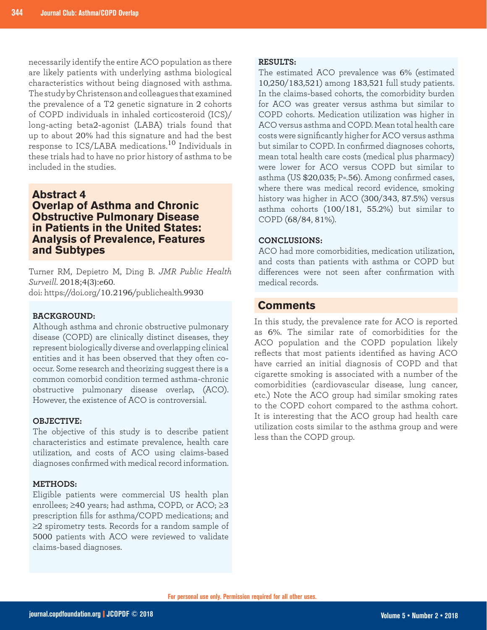necessarily identify the entire ACO population as there are likely patients with underlying asthma biological characteristics without being diagnosed with asthma. The study by Christenson and colleagues that examined the prevalence of a T2 genetic signature in 2 cohorts of COPD individuals in inhaled corticosteroid (ICS)/ long-acting beta2-agonist (LABA) trials found that up to about 20% had this signature and had the best response to ICS/LABA medications.10 Individuals in these trials had to have no prior history of asthma to be included in the studies.

## **Abstract 4 Overlap of Asthma and Chronic Obstructive Pulmonary Disease in Patients in the United States: Analysis of Prevalence, Features and Subtypes**

Turner RM, Depietro M, Ding B. *JMR Public Health Surveill*. 2018;4(3):e60. doi: https://doi.org/10.2196/publichealth.9930

#### **BACKGROUND:**

Although asthma and chronic obstructive pulmonary disease (COPD) are clinically distinct diseases, they represent biologically diverse and overlapping clinical entities and it has been observed that they often cooccur. Some research and theorizing suggest there is a common comorbid condition termed asthma-chronic obstructive pulmonary disease overlap, (ACO). However, the existence of ACO is controversial.

#### **OBJECTIVE:**

The objective of this study is to describe patient characteristics and estimate prevalence, health care utilization, and costs of ACO using claims-based diagnoses confirmed with medical record information.

#### **METHODS:**

Eligible patients were commercial US health plan enrollees; ≥40 years; had asthma, COPD, or ACO; ≥3 prescription fills for asthma/COPD medications; and ≥2 spirometry tests. Records for a random sample of 5000 patients with ACO were reviewed to validate claims-based diagnoses.

#### **RESULTS:**

The estimated ACO prevalence was 6% (estimated 10,250/183,521) among 183,521 full study patients. In the claims-based cohorts, the comorbidity burden for ACO was greater versus asthma but similar to COPD cohorts. Medication utilization was higher in ACO versus asthma and COPD. Mean total health care costs were significantly higher for ACO versus asthma but similar to COPD. In confirmed diagnoses cohorts, mean total health care costs (medical plus pharmacy) were lower for ACO versus COPD but similar to asthma (US \$20,035; P=.56). Among confirmed cases, where there was medical record evidence, smoking history was higher in ACO (300/343, 87.5%) versus asthma cohorts (100/181, 55.2%) but similar to COPD (68/84, 81%).

#### **CONCLUSIONS:**

ACO had more comorbidities, medication utilization, and costs than patients with asthma or COPD but differences were not seen after confirmation with medical records.

## **Comments**

In this study, the prevalence rate for ACO is reported as 6%. The similar rate of comorbidities for the ACO population and the COPD population likely reflects that most patients identified as having ACO have carried an initial diagnosis of COPD and that cigarette smoking is associated with a number of the comorbidities (cardiovascular disease, lung cancer, etc.) Note the ACO group had similar smoking rates to the COPD cohort compared to the asthma cohort. It is interesting that the ACO group had health care utilization costs similar to the asthma group and were less than the COPD group.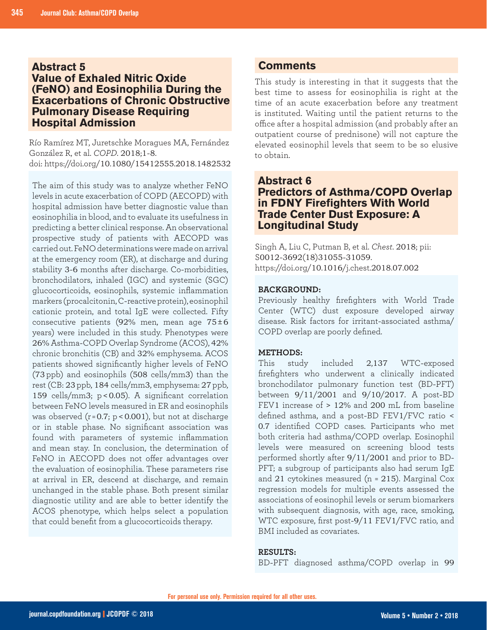## **Abstract 5 Value of Exhaled Nitric Oxide (FeNO) and Eosinophilia During the Exacerbations of Chronic Obstructive Pulmonary Disease Requiring Hospital Admission**

Río Ramírez MT, Juretschke Moragues MA, Fernández González R, et al. *COPD*. 2018;1-8. doi: https://doi.org/10.1080/15412555.2018.1482532

The aim of this study was to analyze whether FeNO levels in acute exacerbation of COPD (AECOPD) with hospital admission have better diagnostic value than eosinophilia in blood, and to evaluate its usefulness in predicting a better clinical response. An observational prospective study of patients with AECOPD was carried out. FeNO determinations were made on arrival at the emergency room (ER), at discharge and during stability 3-6 months after discharge. Co-morbidities, bronchodilators, inhaled (IGC) and systemic (SGC) glucocorticoids, eosinophils, systemic inflammation markers (procalcitonin, C-reactive protein), eosinophil cationic protein, and total IgE were collected. Fifty consecutive patients (92% men, mean age  $75±6$ years) were included in this study. Phenotypes were 26% Asthma-COPD Overlap Syndrome (ACOS), 42% chronic bronchitis (CB) and 32% emphysema. ACOS patients showed significantly higher levels of FeNO (73 ppb) and eosinophils (508 cells/mm3) than the rest (CB: 23 ppb, 184 cells/mm3, emphysema: 27 ppb, 159 cells/mm3; p <0.05). A significant correlation between FeNO levels measured in ER and eosinophils was observed  $(r=0.7; p<0.001)$ , but not at discharge or in stable phase. No significant association was found with parameters of systemic inflammation and mean stay. In conclusion, the determination of FeNO in AECOPD does not offer advantages over the evaluation of eosinophilia. These parameters rise at arrival in ER, descend at discharge, and remain unchanged in the stable phase. Both present similar diagnostic utility and are able to better identify the ACOS phenotype, which helps select a population that could benefit from a glucocorticoids therapy.

## **Comments**

This study is interesting in that it suggests that the best time to assess for eosinophilia is right at the time of an acute exacerbation before any treatment is instituted. Waiting until the patient returns to the office after a hospital admission (and probably after an outpatient course of prednisone) will not capture the elevated eosinophil levels that seem to be so elusive to obtain.

## **Abstract 6 Predictors of Asthma/COPD Overlap in FDNY Firefighters With World Trade Center Dust Exposure: A Longitudinal Study**

Singh A, Liu C, Putman B, et al. *Chest*. 2018; pii: S0012-3692(18)31055-31059. https://doi.org/10.1016/j.chest.2018.07.002

## **BACKGROUND:**

Previously healthy firefighters with World Trade Center (WTC) dust exposure developed airway disease. Risk factors for irritant-associated asthma/ COPD overlap are poorly defined.

#### **METHODS:**

This study included 2,137 WTC-exposed firefighters who underwent a clinically indicated bronchodilator pulmonary function test (BD-PFT) between 9/11/2001 and 9/10/2017. A post-BD FEV1 increase of > 12% and 200 mL from baseline defined asthma, and a post-BD FEV1/FVC ratio < 0.7 identified COPD cases. Participants who met both criteria had asthma/COPD overlap. Eosinophil levels were measured on screening blood tests performed shortly after 9/11/2001 and prior to BD-PFT; a subgroup of participants also had serum IgE and 21 cytokines measured (n = 215). Marginal Cox regression models for multiple events assessed the associations of eosinophil levels or serum biomarkers with subsequent diagnosis, with age, race, smoking, WTC exposure, first post-9/11 FEV1/FVC ratio, and BMI included as covariates.

#### **RESULTS:**

BD-PFT diagnosed asthma/COPD overlap in 99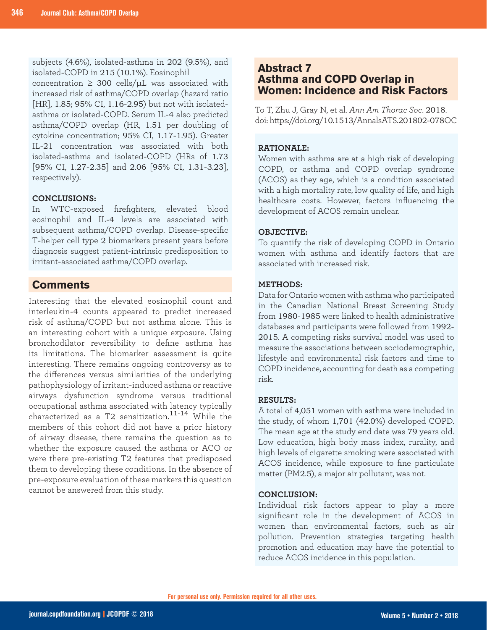subjects (4.6%), isolated-asthma in 202 (9.5%), and isolated-COPD in 215 (10.1%). Eosinophil

concentration  $\geq 300$  cells/ $\mu$ L was associated with increased risk of asthma/COPD overlap (hazard ratio [HR], 1.85; 95% CI, 1.16-2.95) but not with isolatedasthma or isolated-COPD. Serum IL-4 also predicted asthma/COPD overlap (HR, 1.51 per doubling of cytokine concentration; 95% CI, 1.17-1.95). Greater IL-21 concentration was associated with both isolated-asthma and isolated-COPD (HRs of 1.73 [95% CI, 1.27-2.35] and 2.06 [95% CI, 1.31-3.23], respectively).

#### **CONCLUSIONS:**

In WTC-exposed firefighters, elevated blood eosinophil and IL-4 levels are associated with subsequent asthma/COPD overlap. Disease-specific T-helper cell type 2 biomarkers present years before diagnosis suggest patient-intrinsic predisposition to irritant-associated asthma/COPD overlap.

## **Comments**

Interesting that the elevated eosinophil count and interleukin-4 counts appeared to predict increased risk of asthma/COPD but not asthma alone. This is an interesting cohort with a unique exposure. Using bronchodilator reversibility to define asthma has its limitations. The biomarker assessment is quite interesting. There remains ongoing controversy as to the differences versus similarities of the underlying pathophysiology of irritant-induced asthma or reactive airways dysfunction syndrome versus traditional occupational asthma associated with latency typically characterized as a T2 sensitization.11-14 While the members of this cohort did not have a prior history of airway disease, there remains the question as to whether the exposure caused the asthma or ACO or were there pre-existing T2 features that predisposed them to developing these conditions. In the absence of pre-exposure evaluation of these markers this question cannot be answered from this study.

## **Abstract 7 Asthma and COPD Overlap in Women: Incidence and Risk Factors**

To T, Zhu J, Gray N, et al. *Ann Am Thorac Soc*. 2018. doi: https://doi.org/10.1513/AnnalsATS.201802-078OC

#### **RATIONALE:**

Women with asthma are at a high risk of developing COPD, or asthma and COPD overlap syndrome (ACOS) as they age, which is a condition associated with a high mortality rate, low quality of life, and high healthcare costs. However, factors influencing the development of ACOS remain unclear.

#### **OBJECTIVE:**

To quantify the risk of developing COPD in Ontario women with asthma and identify factors that are associated with increased risk.

#### **METHODS:**

Data for Ontario women with asthma who participated in the Canadian National Breast Screening Study from 1980-1985 were linked to health administrative databases and participants were followed from 1992- 2015. A competing risks survival model was used to measure the associations between sociodemographic, lifestyle and environmental risk factors and time to COPD incidence, accounting for death as a competing risk.

#### **RESULTS:**

A total of 4,051 women with asthma were included in the study, of whom 1,701 (42.0%) developed COPD. The mean age at the study end date was 79 years old. Low education, high body mass index, rurality, and high levels of cigarette smoking were associated with ACOS incidence, while exposure to fine particulate matter (PM2.5), a major air pollutant, was not.

#### **CONCLUSION:**

Individual risk factors appear to play a more significant role in the development of ACOS in women than environmental factors, such as air pollution. Prevention strategies targeting health promotion and education may have the potential to reduce ACOS incidence in this population.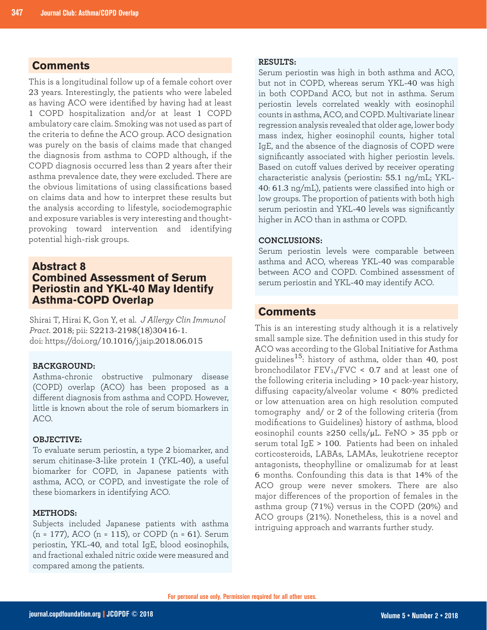## **Comments**

This is a longitudinal follow up of a female cohort over 23 years. Interestingly, the patients who were labeled as having ACO were identified by having had at least 1 COPD hospitalization and/or at least 1 COPD ambulatory care claim. Smoking was not used as part of the criteria to define the ACO group. ACO designation was purely on the basis of claims made that changed the diagnosis from asthma to COPD although, if the COPD diagnosis occurred less than 2 years after their asthma prevalence date, they were excluded. There are the obvious limitations of using classifications based on claims data and how to interpret these results but the analysis according to lifestyle, sociodemographic and exposure variables is very interesting and thoughtprovoking toward intervention and identifying potential high-risk groups.

## **Abstract 8 Combined Assessment of Serum Periostin and YKL-40 May Identify Asthma-COPD Overlap**

Shirai T, Hirai K, Gon Y, et al. *J Allergy Clin Immunol Pract*. 2018; pii: S2213-2198(18)30416-1. doi: https://doi.org/10.1016/j.jaip.2018.06.015

#### **BACKGROUND:**

Asthma-chronic obstructive pulmonary disease (COPD) overlap (ACO) has been proposed as a different diagnosis from asthma and COPD. However, little is known about the role of serum biomarkers in ACO.

#### **OBJECTIVE:**

To evaluate serum periostin, a type 2 biomarker, and serum chitinase-3-like protein 1 (YKL-40), a useful biomarker for COPD, in Japanese patients with asthma, ACO, or COPD, and investigate the role of these biomarkers in identifying ACO.

#### **METHODS:**

Subjects included Japanese patients with asthma  $(n = 177)$ , ACO  $(n = 115)$ , or COPD  $(n = 61)$ . Serum periostin, YKL-40, and total IgE, blood eosinophils, and fractional exhaled nitric oxide were measured and compared among the patients.

#### **RESULTS:**

Serum periostin was high in both asthma and ACO, but not in COPD, whereas serum YKL-40 was high in both COPDand ACO, but not in asthma. Serum periostin levels correlated weakly with eosinophil counts in asthma, ACO, and COPD. Multivariate linear regression analysis revealed that older age, lower body mass index, higher eosinophil counts, higher total IgE, and the absence of the diagnosis of COPD were significantly associated with higher periostin levels. Based on cutoff values derived by receiver operating characteristic analysis (periostin: 55.1 ng/mL; YKL-40: 61.3 ng/mL), patients were classified into high or low groups. The proportion of patients with both high serum periostin and YKL-40 levels was significantly higher in ACO than in asthma or COPD.

#### **CONCLUSIONS:**

Serum periostin levels were comparable between asthma and ACO, whereas YKL-40 was comparable between ACO and COPD. Combined assessment of serum periostin and YKL-40 may identify ACO.

## **Comments**

This is an interesting study although it is a relatively small sample size. The definition used in this study for ACO was according to the Global Initiative for Asthma guidelines15: history of asthma, older than 40, post bronchodilator  $FEV<sub>1</sub>/FVC < 0.7$  and at least one of the following criteria including > 10 pack-year history, diffusing capacity/alveolar volume < 80% predicted or low attenuation area on high resolution computed tomography and/ or 2 of the following criteria (from modifications to Guidelines) history of asthma, blood eosinophil counts ≥250 cells/µL. FeNO > 35 ppb or serum total IgE > 100. Patients had been on inhaled corticosteroids, LABAs, LAMAs, leukotriene receptor antagonists, theophylline or omalizumab for at least 6 months. Confounding this data is that 14% of the ACO group were never smokers. There are also major differences of the proportion of females in the asthma group (71%) versus in the COPD (20%) and ACO groups (21%). Nonetheless, this is a novel and intriguing approach and warrants further study.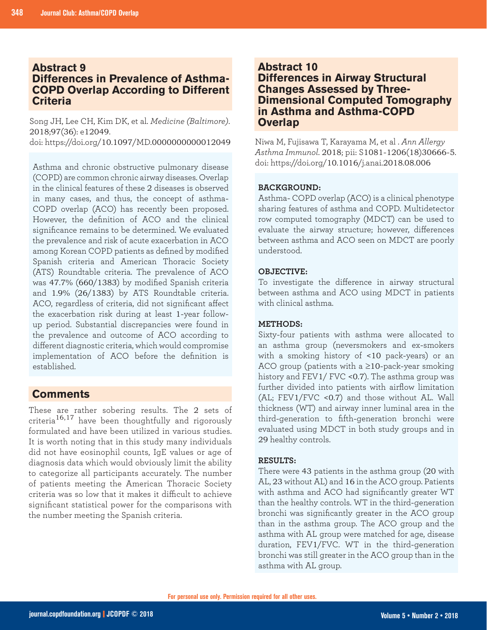## **Abstract 9 Differences in Prevalence of Asthma-COPD Overlap According to Different Criteria**

Song JH, Lee CH, Kim DK, et al. *Medicine (Baltimore)*. 2018;97(36): e12049. doi: https://doi.org/10.1097/MD.0000000000012049

Asthma and chronic obstructive pulmonary disease (COPD) are common chronic airway diseases. Overlap in the clinical features of these 2 diseases is observed in many cases, and thus, the concept of asthma-COPD overlap (ACO) has recently been proposed. However, the definition of ACO and the clinical significance remains to be determined. We evaluated the prevalence and risk of acute exacerbation in ACO among Korean COPD patients as defined by modified Spanish criteria and American Thoracic Society (ATS) Roundtable criteria. The prevalence of ACO was 47.7% (660/1383) by modified Spanish criteria and 1.9% (26/1383) by ATS Roundtable criteria. ACO, regardless of criteria, did not significant affect the exacerbation risk during at least 1-year followup period. Substantial discrepancies were found in the prevalence and outcome of ACO according to different diagnostic criteria, which would compromise implementation of ACO before the definition is established.

## **Comments**

These are rather sobering results. The 2 sets of criteria<sup>16,17</sup> have been thoughtfully and rigorously formulated and have been utilized in various studies. It is worth noting that in this study many individuals did not have eosinophil counts, IgE values or age of diagnosis data which would obviously limit the ability to categorize all participants accurately. The number of patients meeting the American Thoracic Society criteria was so low that it makes it difficult to achieve significant statistical power for the comparisons with the number meeting the Spanish criteria.

## **Abstract 10 Differences in Airway Structural Changes Assessed by Three-Dimensional Computed Tomography in Asthma and Asthma-COPD Overlap**

Niwa M, Fujisawa T, Karayama M, et al . *Ann Allergy Asthma Immunol*. 2018; pii: S1081-1206(18)30666-5. doi: https://doi.org/10.1016/j.anai.2018.08.006

## **BACKGROUND:**

Asthma- COPD overlap (ACO) is a clinical phenotype sharing features of asthma and COPD. Multidetector row computed tomography (MDCT) can be used to evaluate the airway structure; however, differences between asthma and ACO seen on MDCT are poorly understood.

#### **OBJECTIVE:**

To investigate the difference in airway structural between asthma and ACO using MDCT in patients with clinical asthma.

#### **METHODS:**

Sixty-four patients with asthma were allocated to an asthma group (neversmokers and ex-smokers with a smoking history of <10 pack-years) or an ACO group (patients with a ≥10-pack-year smoking history and FEV1/ FVC <0.7). The asthma group was further divided into patients with airflow limitation (AL; FEV1/FVC <0.7) and those without AL. Wall thickness (WT) and airway inner luminal area in the third-generation to fifth-generation bronchi were evaluated using MDCT in both study groups and in 29 healthy controls.

#### **RESULTS:**

There were 43 patients in the asthma group (20 with AL, 23 without AL) and 16 in the ACO group. Patients with asthma and ACO had significantly greater WT than the healthy controls. WT in the third-generation bronchi was significantly greater in the ACO group than in the asthma group. The ACO group and the asthma with AL group were matched for age, disease duration, FEV1/FVC. WT in the third-generation bronchi was still greater in the ACO group than in the asthma with AL group.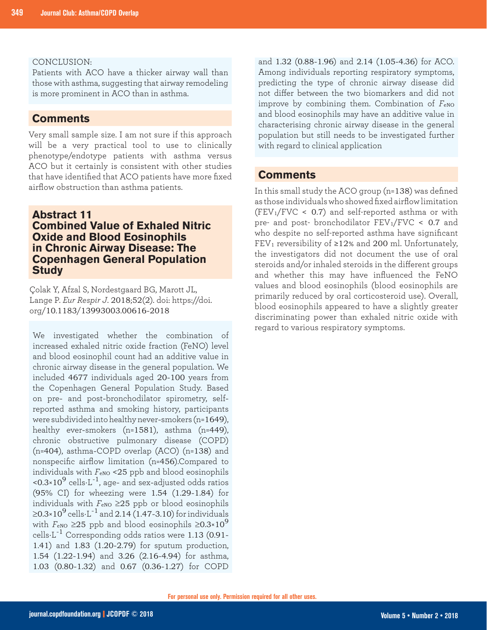#### CONCLUSION:

Patients with ACO have a thicker airway wall than those with asthma, suggesting that airway remodeling is more prominent in ACO than in asthma.

## **Comments**

Very small sample size. I am not sure if this approach will be a very practical tool to use to clinically phenotype/endotype patients with asthma versus ACO but it certainly is consistent with other studies that have identified that ACO patients have more fixed airflow obstruction than asthma patients.

## **Abstract 11 Combined Value of Exhaled Nitric Oxide and Blood Eosinophils in Chronic Airway Disease: The Copenhagen General Population Study**

Çolak Y, Afzal S, Nordestgaard BG, Marott JL, Lange P. *Eur Respir J*. 2018;52(2). doi: https://doi. org/10.1183/13993003.00616-2018

We investigated whether the combination of increased exhaled nitric oxide fraction (FeNO) level and blood eosinophil count had an additive value in chronic airway disease in the general population. We included 4677 individuals aged 20-100 years from the Copenhagen General Population Study. Based on pre- and post-bronchodilator spirometry, selfreported asthma and smoking history, participants were subdivided into healthy never-smokers (n=1649), healthy ever-smokers (n=1581), asthma (n=449), chronic obstructive pulmonary disease (COPD) (n=404), asthma-COPD overlap (ACO) (n=138) and nonspecific airflow limitation (n=456).Compared to individuals with  $F_{\text{eNO}}$  <25 ppb and blood eosinophils  $\sim 0.3 \times 10^9$  cells $\cdot$ L<sup>-1</sup>, age- and sex-adjusted odds ratios (95% CI) for wheezing were 1.54 (1.29-1.84) for individuals with  $F_{\text{eNO}} \geq 25$  ppb or blood eosinophils  $\geq$ 0.3×10<sup>9</sup> cells·L<sup>-1</sup> and 2.14 (1.47-3.10) for individuals with  $F_{\text{eNO}} \geq 25$  ppb and blood eosinophils  $\geq 0.3 \times 10^9$ cells $\cdot$ L<sup>-1</sup> Corresponding odds ratios were 1.13 (0.91-1.41) and 1.83 (1.20-2.79) for sputum production, 1.54 (1.22-1.94) and 3.26 (2.16-4.94) for asthma, 1.03 (0.80-1.32) and 0.67 (0.36-1.27) for COPD

and 1.32 (0.88-1.96) and 2.14 (1.05-4.36) for ACO. Among individuals reporting respiratory symptoms, predicting the type of chronic airway disease did not differ between the two biomarkers and did not improve by combining them. Combination of  $F_{\text{eNO}}$ and blood eosinophils may have an additive value in characterising chronic airway disease in the general population but still needs to be investigated further with regard to clinical application

## **Comments**

In this small study the ACO group (n=138) was defined as those individuals who showed fixed airflow limitation  $(FEV_1/FVC < 0.7)$  and self-reported asthma or with pre- and post- bronchodilator FEV1/FVC < 0.7 and who despite no self-reported asthma have significant FEV<sub>1</sub> reversibility of  $\geq$ 12% and 200 ml. Unfortunately, the investigators did not document the use of oral steroids and/or inhaled steroids in the different groups and whether this may have influenced the FeNO values and blood eosinophils (blood eosinophils are primarily reduced by oral corticosteroid use). Overall, blood eosinophils appeared to have a slightly greater discriminating power than exhaled nitric oxide with regard to various respiratory symptoms.